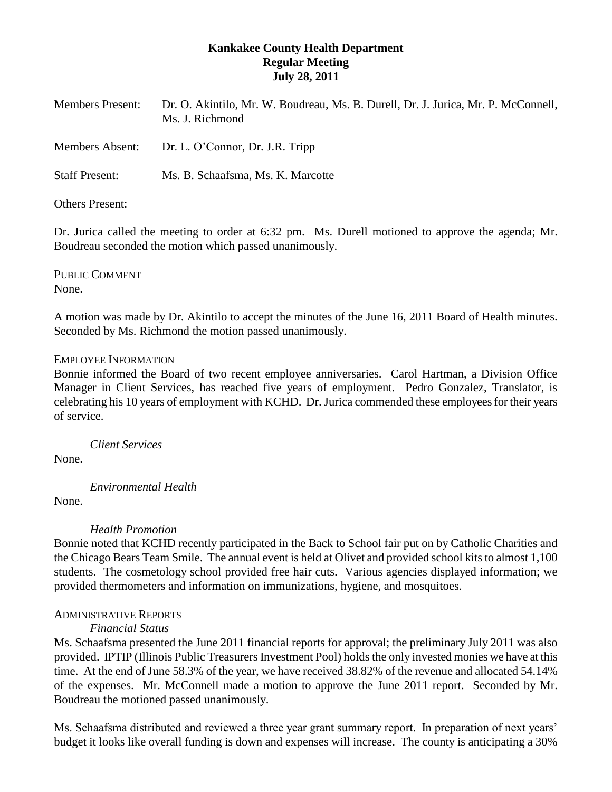# **Kankakee County Health Department Regular Meeting July 28, 2011**

| <b>Members Present:</b> | Dr. O. Akintilo, Mr. W. Boudreau, Ms. B. Durell, Dr. J. Jurica, Mr. P. McConnell,<br>Ms. J. Richmond |
|-------------------------|------------------------------------------------------------------------------------------------------|
| <b>Members Absent:</b>  | Dr. L. O'Connor, Dr. J.R. Tripp                                                                      |
| <b>Staff Present:</b>   | Ms. B. Schaafsma, Ms. K. Marcotte                                                                    |
| Others Present:         |                                                                                                      |

Dr. Jurica called the meeting to order at 6:32 pm. Ms. Durell motioned to approve the agenda; Mr. Boudreau seconded the motion which passed unanimously.

PUBLIC COMMENT None.

A motion was made by Dr. Akintilo to accept the minutes of the June 16, 2011 Board of Health minutes. Seconded by Ms. Richmond the motion passed unanimously.

## EMPLOYEE INFORMATION

Bonnie informed the Board of two recent employee anniversaries. Carol Hartman, a Division Office Manager in Client Services, has reached five years of employment. Pedro Gonzalez, Translator, is celebrating his 10 years of employment with KCHD. Dr. Jurica commended these employees for their years of service.

*Client Services*

None.

*Environmental Health*

None.

*Health Promotion*

Bonnie noted that KCHD recently participated in the Back to School fair put on by Catholic Charities and the Chicago Bears Team Smile. The annual event is held at Olivet and provided school kits to almost 1,100 students. The cosmetology school provided free hair cuts. Various agencies displayed information; we provided thermometers and information on immunizations, hygiene, and mosquitoes.

## ADMINISTRATIVE REPORTS

## *Financial Status*

Ms. Schaafsma presented the June 2011 financial reports for approval; the preliminary July 2011 was also provided. IPTIP (Illinois Public Treasurers Investment Pool) holds the only invested monies we have at this time. At the end of June 58.3% of the year, we have received 38.82% of the revenue and allocated 54.14% of the expenses. Mr. McConnell made a motion to approve the June 2011 report. Seconded by Mr. Boudreau the motioned passed unanimously.

Ms. Schaafsma distributed and reviewed a three year grant summary report. In preparation of next years' budget it looks like overall funding is down and expenses will increase. The county is anticipating a 30%